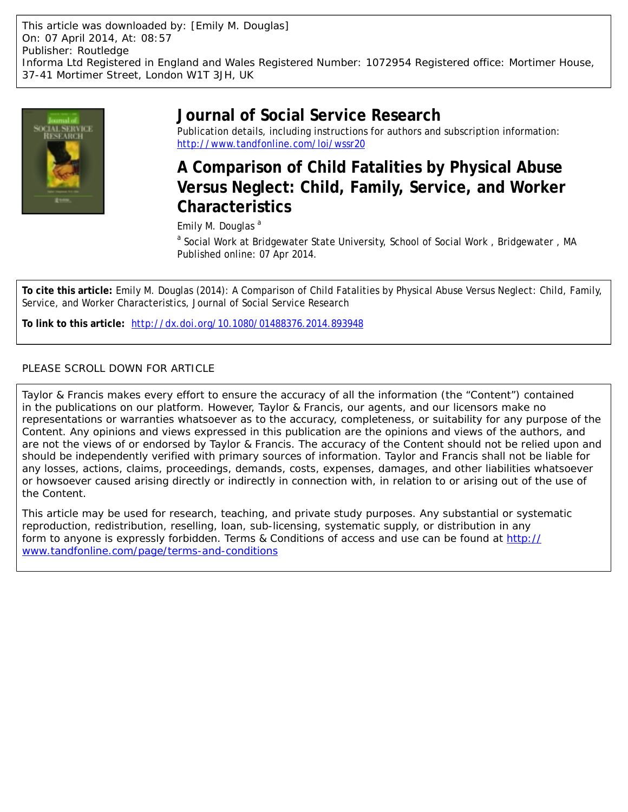

# **Journal of Social Service Research**

Publication details, including instructions for authors and subscription information: <http://www.tandfonline.com/loi/wssr20>

**A Comparison of Child Fatalities by Physical Abuse Versus Neglect: Child, Family, Service, and Worker Characteristics**

Emily M. Douglas<sup>a</sup>

<sup>a</sup> Social Work at Bridgewater State University, School of Social Work, Bridgewater, MA Published online: 07 Apr 2014.

**To cite this article:** Emily M. Douglas (2014): A Comparison of Child Fatalities by Physical Abuse Versus Neglect: Child, Family, Service, and Worker Characteristics, Journal of Social Service Research

**To link to this article:** <http://dx.doi.org/10.1080/01488376.2014.893948>

# PLEASE SCROLL DOWN FOR ARTICLE

Taylor & Francis makes every effort to ensure the accuracy of all the information (the "Content") contained in the publications on our platform. However, Taylor & Francis, our agents, and our licensors make no representations or warranties whatsoever as to the accuracy, completeness, or suitability for any purpose of the Content. Any opinions and views expressed in this publication are the opinions and views of the authors, and are not the views of or endorsed by Taylor & Francis. The accuracy of the Content should not be relied upon and should be independently verified with primary sources of information. Taylor and Francis shall not be liable for any losses, actions, claims, proceedings, demands, costs, expenses, damages, and other liabilities whatsoever or howsoever caused arising directly or indirectly in connection with, in relation to or arising out of the use of the Content.

This article may be used for research, teaching, and private study purposes. Any substantial or systematic reproduction, redistribution, reselling, loan, sub-licensing, systematic supply, or distribution in any form to anyone is expressly forbidden. Terms & Conditions of access and use can be found at [http://](http://www.tandfonline.com/page/terms-and-conditions) [www.tandfonline.com/page/terms-and-conditions](http://www.tandfonline.com/page/terms-and-conditions)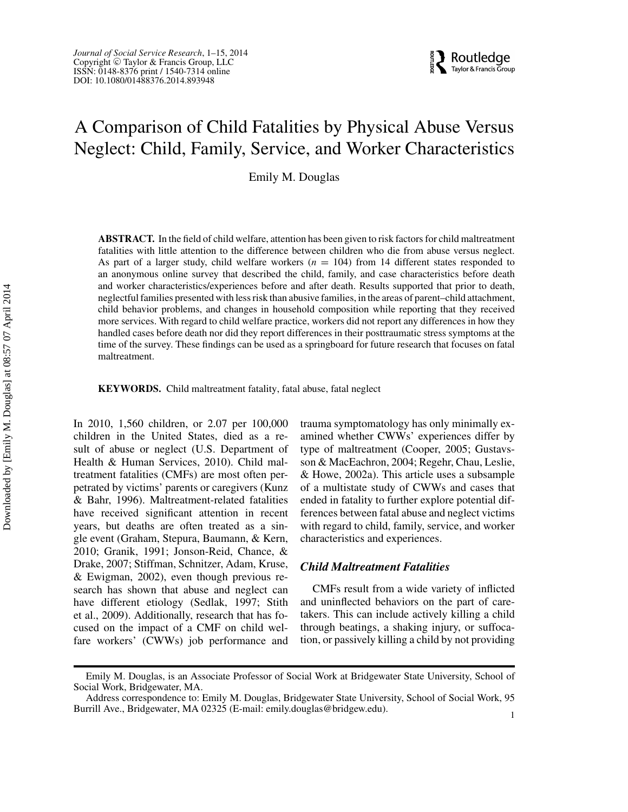

# A Comparison of Child Fatalities by Physical Abuse Versus Neglect: Child, Family, Service, and Worker Characteristics

Emily M. Douglas

**ABSTRACT.** In the field of child welfare, attention has been given to risk factors for child maltreatment fatalities with little attention to the difference between children who die from abuse versus neglect. As part of a larger study, child welfare workers (*n* = 104) from 14 different states responded to an anonymous online survey that described the child, family, and case characteristics before death and worker characteristics/experiences before and after death. Results supported that prior to death, neglectful families presented with less risk than abusive families, in the areas of parent–child attachment, child behavior problems, and changes in household composition while reporting that they received more services. With regard to child welfare practice, workers did not report any differences in how they handled cases before death nor did they report differences in their posttraumatic stress symptoms at the time of the survey. These findings can be used as a springboard for future research that focuses on fatal maltreatment.

**KEYWORDS.** Child maltreatment fatality, fatal abuse, fatal neglect

In 2010, 1,560 children, or 2.07 per 100,000 children in the United States, died as a result of abuse or neglect (U.S. Department of Health & Human Services, 2010). Child maltreatment fatalities (CMFs) are most often perpetrated by victims' parents or caregivers (Kunz & Bahr, 1996). Maltreatment-related fatalities have received significant attention in recent years, but deaths are often treated as a single event (Graham, Stepura, Baumann, & Kern, 2010; Granik, 1991; Jonson-Reid, Chance, & Drake, 2007; Stiffman, Schnitzer, Adam, Kruse, & Ewigman, 2002), even though previous research has shown that abuse and neglect can have different etiology (Sedlak, 1997; Stith et al., 2009). Additionally, research that has focused on the impact of a CMF on child welfare workers' (CWWs) job performance and

trauma symptomatology has only minimally examined whether CWWs' experiences differ by type of maltreatment (Cooper, 2005; Gustavsson & MacEachron, 2004; Regehr, Chau, Leslie, & Howe, 2002a). This article uses a subsample of a multistate study of CWWs and cases that ended in fatality to further explore potential differences between fatal abuse and neglect victims with regard to child, family, service, and worker characteristics and experiences.

#### *Child Maltreatment Fatalities*

CMFs result from a wide variety of inflicted and uninflected behaviors on the part of caretakers. This can include actively killing a child through beatings, a shaking injury, or suffocation, or passively killing a child by not providing

Emily M. Douglas, is an Associate Professor of Social Work at Bridgewater State University, School of Social Work, Bridgewater, MA.

Address correspondence to: Emily M. Douglas, Bridgewater State University, School of Social Work, 95 Burrill Ave., Bridgewater, MA 02325 (E-mail: emily.douglas@bridgew.edu).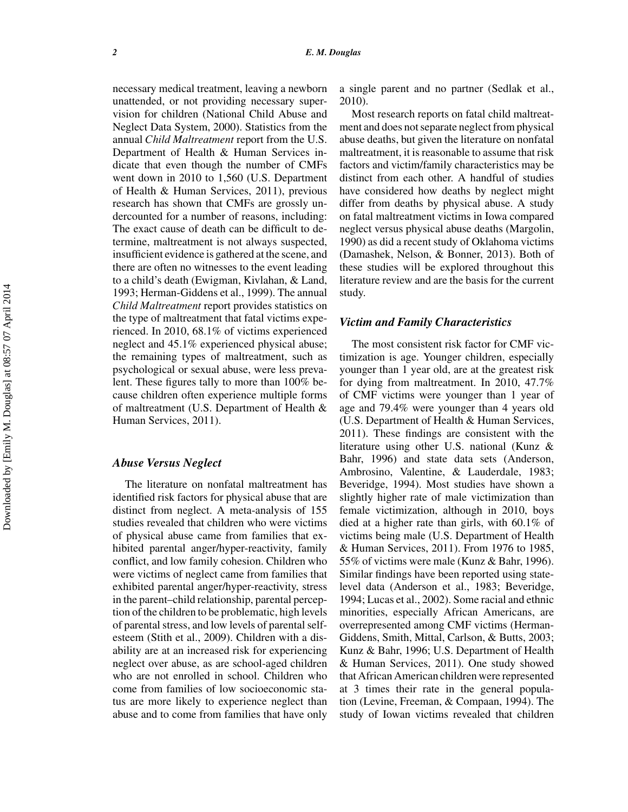necessary medical treatment, leaving a newborn unattended, or not providing necessary supervision for children (National Child Abuse and Neglect Data System, 2000). Statistics from the annual *Child Maltreatment* report from the U.S. Department of Health & Human Services indicate that even though the number of CMFs went down in 2010 to 1,560 (U.S. Department of Health & Human Services, 2011), previous research has shown that CMFs are grossly undercounted for a number of reasons, including: The exact cause of death can be difficult to determine, maltreatment is not always suspected, insufficient evidence is gathered at the scene, and there are often no witnesses to the event leading to a child's death (Ewigman, Kivlahan, & Land, 1993; Herman-Giddens et al., 1999). The annual *Child Maltreatment* report provides statistics on the type of maltreatment that fatal victims experienced. In 2010, 68.1% of victims experienced neglect and 45.1% experienced physical abuse; the remaining types of maltreatment, such as psychological or sexual abuse, were less prevalent. These figures tally to more than 100% because children often experience multiple forms of maltreatment (U.S. Department of Health & Human Services, 2011).

### *Abuse Versus Neglect*

The literature on nonfatal maltreatment has identified risk factors for physical abuse that are distinct from neglect. A meta-analysis of 155 studies revealed that children who were victims of physical abuse came from families that exhibited parental anger/hyper-reactivity, family conflict, and low family cohesion. Children who were victims of neglect came from families that exhibited parental anger/hyper-reactivity, stress in the parent–child relationship, parental perception of the children to be problematic, high levels of parental stress, and low levels of parental selfesteem (Stith et al., 2009). Children with a disability are at an increased risk for experiencing neglect over abuse, as are school-aged children who are not enrolled in school. Children who come from families of low socioeconomic status are more likely to experience neglect than abuse and to come from families that have only

a single parent and no partner (Sedlak et al., 2010).

Most research reports on fatal child maltreatment and does not separate neglect from physical abuse deaths, but given the literature on nonfatal maltreatment, it is reasonable to assume that risk factors and victim/family characteristics may be distinct from each other. A handful of studies have considered how deaths by neglect might differ from deaths by physical abuse. A study on fatal maltreatment victims in Iowa compared neglect versus physical abuse deaths (Margolin, 1990) as did a recent study of Oklahoma victims (Damashek, Nelson, & Bonner, 2013). Both of these studies will be explored throughout this literature review and are the basis for the current study.

#### *Victim and Family Characteristics*

The most consistent risk factor for CMF victimization is age. Younger children, especially younger than 1 year old, are at the greatest risk for dying from maltreatment. In 2010, 47.7% of CMF victims were younger than 1 year of age and 79.4% were younger than 4 years old (U.S. Department of Health & Human Services, 2011). These findings are consistent with the literature using other U.S. national (Kunz & Bahr, 1996) and state data sets (Anderson, Ambrosino, Valentine, & Lauderdale, 1983; Beveridge, 1994). Most studies have shown a slightly higher rate of male victimization than female victimization, although in 2010, boys died at a higher rate than girls, with 60.1% of victims being male (U.S. Department of Health & Human Services, 2011). From 1976 to 1985, 55% of victims were male (Kunz & Bahr, 1996). Similar findings have been reported using statelevel data (Anderson et al., 1983; Beveridge, 1994; Lucas et al., 2002). Some racial and ethnic minorities, especially African Americans, are overrepresented among CMF victims (Herman-Giddens, Smith, Mittal, Carlson, & Butts, 2003; Kunz & Bahr, 1996; U.S. Department of Health & Human Services, 2011). One study showed that African American children were represented at 3 times their rate in the general population (Levine, Freeman, & Compaan, 1994). The study of Iowan victims revealed that children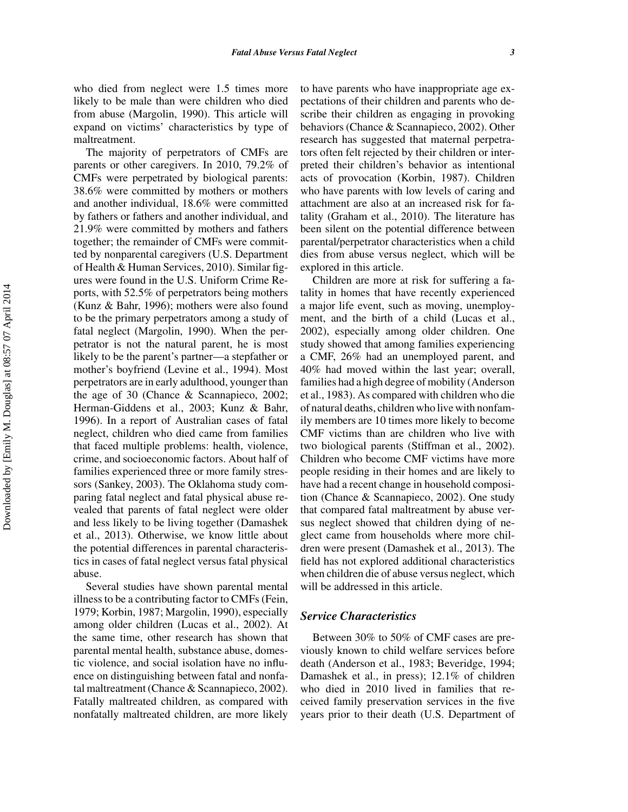maltreatment. The majority of perpetrators of CMFs are parents or other caregivers. In 2010, 79.2% of CMFs were perpetrated by biological parents: 38.6% were committed by mothers or mothers and another individual, 18.6% were committed by fathers or fathers and another individual, and 21.9% were committed by mothers and fathers together; the remainder of CMFs were committed by nonparental caregivers (U.S. Department of Health & Human Services, 2010). Similar figures were found in the U.S. Uniform Crime Reports, with 52.5% of perpetrators being mothers (Kunz & Bahr, 1996); mothers were also found to be the primary perpetrators among a study of fatal neglect (Margolin, 1990). When the perpetrator is not the natural parent, he is most likely to be the parent's partner—a stepfather or mother's boyfriend (Levine et al., 1994). Most perpetrators are in early adulthood, younger than the age of 30 (Chance & Scannapieco, 2002; Herman-Giddens et al., 2003; Kunz & Bahr, 1996). In a report of Australian cases of fatal neglect, children who died came from families that faced multiple problems: health, violence, crime, and socioeconomic factors. About half of families experienced three or more family stressors (Sankey, 2003). The Oklahoma study comparing fatal neglect and fatal physical abuse revealed that parents of fatal neglect were older and less likely to be living together (Damashek et al., 2013). Otherwise, we know little about the potential differences in parental characteristics in cases of fatal neglect versus fatal physical abuse.

expand on victims' characteristics by type of

Several studies have shown parental mental illness to be a contributing factor to CMFs (Fein, 1979; Korbin, 1987; Margolin, 1990), especially among older children (Lucas et al., 2002). At the same time, other research has shown that parental mental health, substance abuse, domestic violence, and social isolation have no influence on distinguishing between fatal and nonfatal maltreatment (Chance & Scannapieco, 2002). Fatally maltreated children, as compared with nonfatally maltreated children, are more likely

to have parents who have inappropriate age expectations of their children and parents who describe their children as engaging in provoking behaviors (Chance & Scannapieco, 2002). Other research has suggested that maternal perpetrators often felt rejected by their children or interpreted their children's behavior as intentional acts of provocation (Korbin, 1987). Children who have parents with low levels of caring and attachment are also at an increased risk for fatality (Graham et al., 2010). The literature has been silent on the potential difference between parental/perpetrator characteristics when a child dies from abuse versus neglect, which will be explored in this article.

Children are more at risk for suffering a fatality in homes that have recently experienced a major life event, such as moving, unemployment, and the birth of a child (Lucas et al., 2002), especially among older children. One study showed that among families experiencing a CMF, 26% had an unemployed parent, and 40% had moved within the last year; overall, families had a high degree of mobility (Anderson et al., 1983). As compared with children who die of natural deaths, children who live with nonfamily members are 10 times more likely to become CMF victims than are children who live with two biological parents (Stiffman et al., 2002). Children who become CMF victims have more people residing in their homes and are likely to have had a recent change in household composition (Chance & Scannapieco, 2002). One study that compared fatal maltreatment by abuse versus neglect showed that children dying of neglect came from households where more children were present (Damashek et al., 2013). The field has not explored additional characteristics when children die of abuse versus neglect, which will be addressed in this article.

#### *Service Characteristics*

Between 30% to 50% of CMF cases are previously known to child welfare services before death (Anderson et al., 1983; Beveridge, 1994; Damashek et al., in press); 12.1% of children who died in 2010 lived in families that received family preservation services in the five years prior to their death (U.S. Department of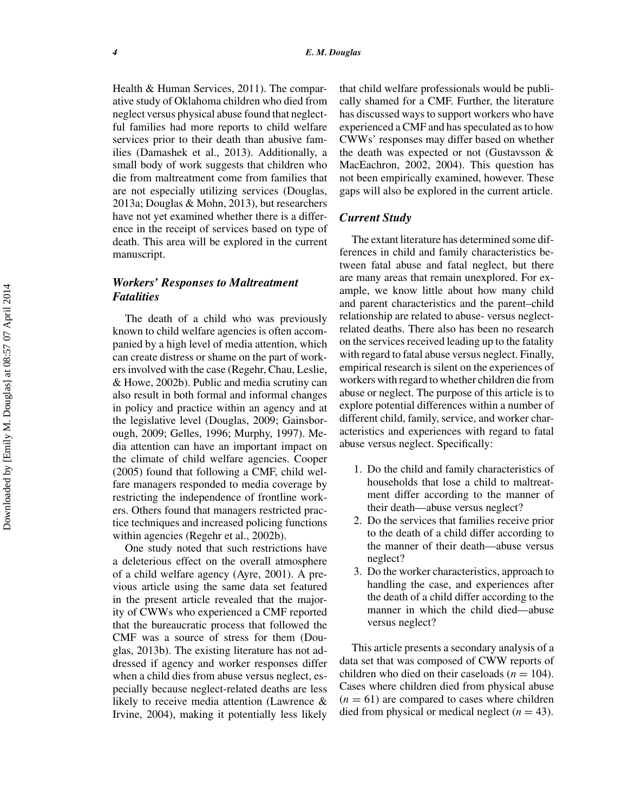Health & Human Services, 2011). The comparative study of Oklahoma children who died from neglect versus physical abuse found that neglectful families had more reports to child welfare services prior to their death than abusive families (Damashek et al., 2013). Additionally, a small body of work suggests that children who die from maltreatment come from families that are not especially utilizing services (Douglas, 2013a; Douglas & Mohn, 2013), but researchers have not yet examined whether there is a difference in the receipt of services based on type of death. This area will be explored in the current manuscript.

# *Workers' Responses to Maltreatment Fatalities*

The death of a child who was previously known to child welfare agencies is often accompanied by a high level of media attention, which can create distress or shame on the part of workers involved with the case (Regehr, Chau, Leslie, & Howe, 2002b). Public and media scrutiny can also result in both formal and informal changes in policy and practice within an agency and at the legislative level (Douglas, 2009; Gainsborough, 2009; Gelles, 1996; Murphy, 1997). Media attention can have an important impact on the climate of child welfare agencies. Cooper (2005) found that following a CMF, child welfare managers responded to media coverage by restricting the independence of frontline workers. Others found that managers restricted practice techniques and increased policing functions within agencies (Regehr et al., 2002b).

One study noted that such restrictions have a deleterious effect on the overall atmosphere of a child welfare agency (Ayre, 2001). A previous article using the same data set featured in the present article revealed that the majority of CWWs who experienced a CMF reported that the bureaucratic process that followed the CMF was a source of stress for them (Douglas, 2013b). The existing literature has not addressed if agency and worker responses differ when a child dies from abuse versus neglect, especially because neglect-related deaths are less likely to receive media attention (Lawrence & Irvine, 2004), making it potentially less likely

that child welfare professionals would be publically shamed for a CMF. Further, the literature has discussed ways to support workers who have experienced a CMF and has speculated as to how CWWs' responses may differ based on whether the death was expected or not (Gustavsson & MacEachron, 2002, 2004). This question has not been empirically examined, however. These gaps will also be explored in the current article.

#### *Current Study*

The extant literature has determined some differences in child and family characteristics between fatal abuse and fatal neglect, but there are many areas that remain unexplored. For example, we know little about how many child and parent characteristics and the parent–child relationship are related to abuse- versus neglectrelated deaths. There also has been no research on the services received leading up to the fatality with regard to fatal abuse versus neglect. Finally, empirical research is silent on the experiences of workers with regard to whether children die from abuse or neglect. The purpose of this article is to explore potential differences within a number of different child, family, service, and worker characteristics and experiences with regard to fatal abuse versus neglect. Specifically:

- 1. Do the child and family characteristics of households that lose a child to maltreatment differ according to the manner of their death—abuse versus neglect?
- 2. Do the services that families receive prior to the death of a child differ according to the manner of their death—abuse versus neglect?
- 3. Do the worker characteristics, approach to handling the case, and experiences after the death of a child differ according to the manner in which the child died—abuse versus neglect?

This article presents a secondary analysis of a data set that was composed of CWW reports of children who died on their caseloads  $(n = 104)$ . Cases where children died from physical abuse  $(n = 61)$  are compared to cases where children died from physical or medical neglect  $(n = 43)$ .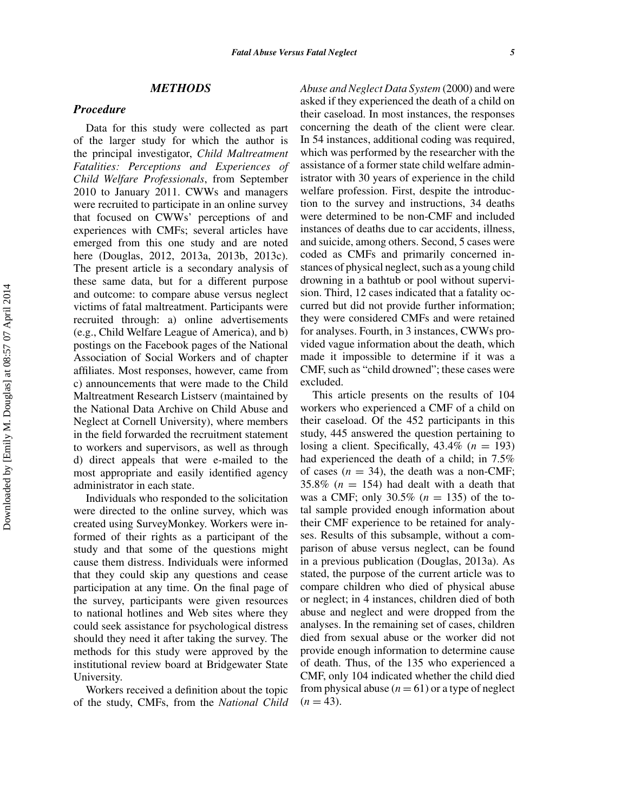### *METHODS*

#### *Procedure*

Data for this study were collected as part of the larger study for which the author is the principal investigator, *Child Maltreatment Fatalities: Perceptions and Experiences of Child Welfare Professionals*, from September 2010 to January 2011. CWWs and managers were recruited to participate in an online survey that focused on CWWs' perceptions of and experiences with CMFs; several articles have emerged from this one study and are noted here (Douglas, 2012, 2013a, 2013b, 2013c). The present article is a secondary analysis of these same data, but for a different purpose and outcome: to compare abuse versus neglect victims of fatal maltreatment. Participants were recruited through: a) online advertisements (e.g., Child Welfare League of America), and b) postings on the Facebook pages of the National Association of Social Workers and of chapter affiliates. Most responses, however, came from c) announcements that were made to the Child Maltreatment Research Listserv (maintained by the National Data Archive on Child Abuse and Neglect at Cornell University), where members in the field forwarded the recruitment statement to workers and supervisors, as well as through d) direct appeals that were e-mailed to the most appropriate and easily identified agency administrator in each state.

Individuals who responded to the solicitation were directed to the online survey, which was created using SurveyMonkey. Workers were informed of their rights as a participant of the study and that some of the questions might cause them distress. Individuals were informed that they could skip any questions and cease participation at any time. On the final page of the survey, participants were given resources to national hotlines and Web sites where they could seek assistance for psychological distress should they need it after taking the survey. The methods for this study were approved by the institutional review board at Bridgewater State University.

Workers received a definition about the topic of the study, CMFs, from the *National Child* *Abuse and Neglect Data System* (2000) and were asked if they experienced the death of a child on their caseload. In most instances, the responses concerning the death of the client were clear. In 54 instances, additional coding was required, which was performed by the researcher with the assistance of a former state child welfare administrator with 30 years of experience in the child welfare profession. First, despite the introduction to the survey and instructions, 34 deaths were determined to be non-CMF and included instances of deaths due to car accidents, illness, and suicide, among others. Second, 5 cases were coded as CMFs and primarily concerned instances of physical neglect, such as a young child drowning in a bathtub or pool without supervision. Third, 12 cases indicated that a fatality occurred but did not provide further information; they were considered CMFs and were retained for analyses. Fourth, in 3 instances, CWWs provided vague information about the death, which made it impossible to determine if it was a CMF, such as "child drowned"; these cases were excluded.

This article presents on the results of 104 workers who experienced a CMF of a child on their caseload. Of the 452 participants in this study, 445 answered the question pertaining to losing a client. Specifically,  $43.4\%$  ( $n = 193$ ) had experienced the death of a child; in 7.5% of cases  $(n = 34)$ , the death was a non-CMF; 35.8%  $(n = 154)$  had dealt with a death that was a CMF; only  $30.5\%$  ( $n = 135$ ) of the total sample provided enough information about their CMF experience to be retained for analyses. Results of this subsample, without a comparison of abuse versus neglect, can be found in a previous publication (Douglas, 2013a). As stated, the purpose of the current article was to compare children who died of physical abuse or neglect; in 4 instances, children died of both abuse and neglect and were dropped from the analyses. In the remaining set of cases, children died from sexual abuse or the worker did not provide enough information to determine cause of death. Thus, of the 135 who experienced a CMF, only 104 indicated whether the child died from physical abuse  $(n = 61)$  or a type of neglect  $(n = 43)$ .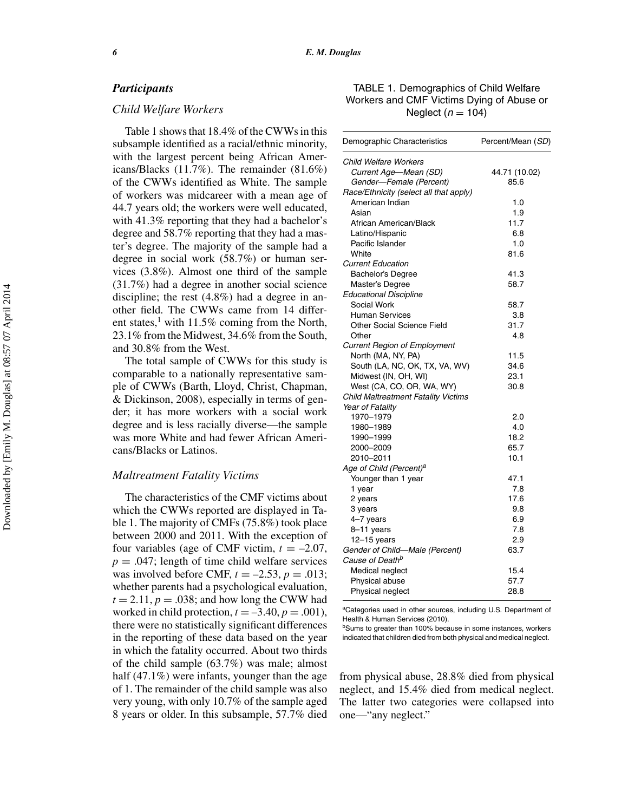#### *Participants*

#### *Child Welfare Workers*

Table 1 shows that 18.4% of the CWWs in this subsample identified as a racial/ethnic minority, with the largest percent being African Americans/Blacks (11.7%). The remainder (81.6%) of the CWWs identified as White. The sample of workers was midcareer with a mean age of 44.7 years old; the workers were well educated, with 41.3% reporting that they had a bachelor's degree and 58.7% reporting that they had a master's degree. The majority of the sample had a degree in social work (58.7%) or human services (3.8%). Almost one third of the sample (31.7%) had a degree in another social science discipline; the rest (4.8%) had a degree in another field. The CWWs came from 14 different states,<sup>1</sup> with 11.5% coming from the North, 23.1% from the Midwest, 34.6% from the South, and 30.8% from the West.

The total sample of CWWs for this study is comparable to a nationally representative sample of CWWs (Barth, Lloyd, Christ, Chapman, & Dickinson, 2008), especially in terms of gender; it has more workers with a social work degree and is less racially diverse—the sample was more White and had fewer African Americans/Blacks or Latinos.

#### *Maltreatment Fatality Victims*

The characteristics of the CMF victims about which the CWWs reported are displayed in Table 1. The majority of CMFs (75.8%) took place between 2000 and 2011. With the exception of four variables (age of CMF victim,  $t = -2.07$ ,  $p = .047$ ; length of time child welfare services was involved before CMF,  $t = -2.53$ ,  $p = .013$ ; whether parents had a psychological evaluation,  $t = 2.11$ ,  $p = .038$ ; and how long the CWW had worked in child protection,  $t = -3.40$ ,  $p = .001$ ), there were no statistically significant differences in the reporting of these data based on the year in which the fatality occurred. About two thirds of the child sample (63.7%) was male; almost half (47.1%) were infants, younger than the age of 1. The remainder of the child sample was also very young, with only 10.7% of the sample aged 8 years or older. In this subsample, 57.7% died

| TABLE 1. Demographics of Child Welfare    |  |
|-------------------------------------------|--|
| Workers and CMF Victims Dying of Abuse or |  |
| Neglect ( $n = 104$ )                     |  |

| Demographic Characteristics                | Percent/Mean (SD) |
|--------------------------------------------|-------------------|
| Child Welfare Workers                      |                   |
| Current Age-Mean (SD)                      | 44.71 (10.02)     |
| Gender-Female (Percent)                    | 85.6              |
| Race/Ethnicity (select all that apply)     |                   |
| American Indian                            | 1.0               |
| Asian                                      | 1.9               |
| African American/Black                     | 11.7              |
| Latino/Hispanic                            | 6.8               |
| Pacific Islander                           | 1.0               |
| White                                      | 81.6              |
| <b>Current Education</b>                   |                   |
| Bachelor's Degree                          | 41.3              |
| Master's Degree                            | 58.7              |
| <b>Educational Discipline</b>              |                   |
| <b>Social Work</b>                         | 58.7              |
| <b>Human Services</b>                      | 3.8               |
| <b>Other Social Science Field</b>          | 31.7              |
| Other                                      | 4.8               |
| <b>Current Region of Employment</b>        |                   |
| North (MA, NY, PA)                         | 11.5              |
| South (LA, NC, OK, TX, VA, WV)             | 34.6              |
| Midwest (IN, OH, WI)                       | 23.1              |
| West (CA, CO, OR, WA, WY)                  | 30.8              |
| <b>Child Maltreatment Fatality Victims</b> |                   |
| Year of Fatality                           |                   |
| 1970-1979                                  | 2.0               |
| 1980-1989                                  | 4.0               |
| 1990-1999                                  | 18.2              |
| 2000–2009                                  | 65.7              |
| 2010-2011                                  | 10.1              |
| Age of Child (Percent) <sup>a</sup>        |                   |
| Younger than 1 year                        | 47.1              |
| 1 year                                     | 7.8               |
| 2 years                                    | 17.6              |
| 3 years                                    | 9.8               |
| 4-7 years                                  | 6.9               |
| 8-11 years                                 | 7.8               |
| $12 - 15$ years                            | 2.9               |
| Gender of Child-Male (Percent)             | 63.7              |
| Cause of Death <sup>b</sup>                |                   |
| Medical neglect                            | 15.4              |
| Physical abuse                             | 57.7              |
| Physical neglect                           | 28.8              |
|                                            |                   |

aCategories used in other sources, including U.S. Department of Health & Human Services (2010).

<sup>b</sup>Sums to greater than 100% because in some instances, workers indicated that children died from both physical and medical neglect.

from physical abuse, 28.8% died from physical neglect, and 15.4% died from medical neglect. The latter two categories were collapsed into one—"any neglect."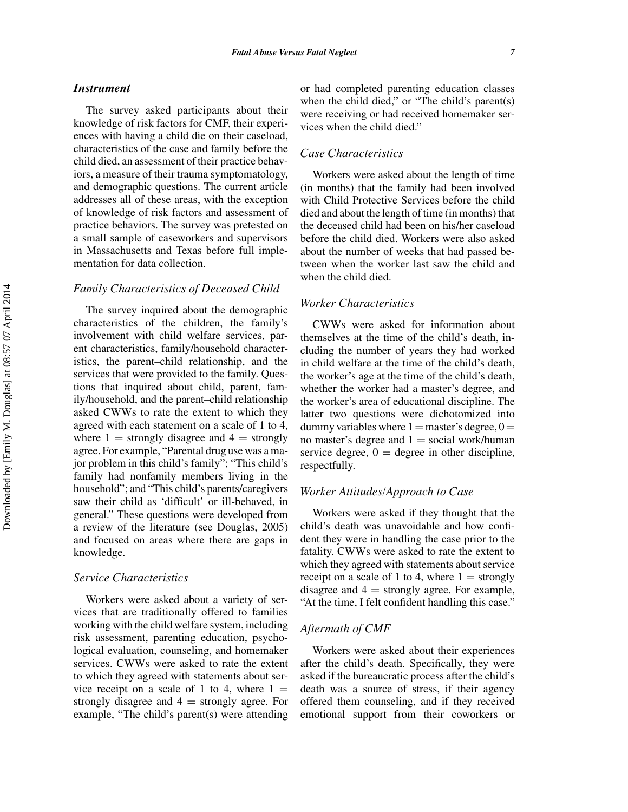#### *Instrument*

The survey asked participants about their knowledge of risk factors for CMF, their experiences with having a child die on their caseload, characteristics of the case and family before the child died, an assessment of their practice behaviors, a measure of their trauma symptomatology, and demographic questions. The current article addresses all of these areas, with the exception of knowledge of risk factors and assessment of practice behaviors. The survey was pretested on a small sample of caseworkers and supervisors in Massachusetts and Texas before full implementation for data collection.

#### *Family Characteristics of Deceased Child*

The survey inquired about the demographic characteristics of the children, the family's involvement with child welfare services, parent characteristics, family/household characteristics, the parent–child relationship, and the services that were provided to the family. Questions that inquired about child, parent, family/household, and the parent–child relationship asked CWWs to rate the extent to which they agreed with each statement on a scale of 1 to 4, where  $1 =$  strongly disagree and  $4 =$  strongly agree. For example, "Parental drug use was a major problem in this child's family"; "This child's family had nonfamily members living in the household"; and "This child's parents/caregivers saw their child as 'difficult' or ill-behaved, in general." These questions were developed from a review of the literature (see Douglas, 2005) and focused on areas where there are gaps in knowledge.

#### *Service Characteristics*

Workers were asked about a variety of services that are traditionally offered to families working with the child welfare system, including risk assessment, parenting education, psychological evaluation, counseling, and homemaker services. CWWs were asked to rate the extent to which they agreed with statements about service receipt on a scale of 1 to 4, where  $1 =$ strongly disagree and  $4 =$  strongly agree. For example, "The child's parent(s) were attending

or had completed parenting education classes when the child died," or "The child's parent(s) were receiving or had received homemaker services when the child died."

#### *Case Characteristics*

Workers were asked about the length of time (in months) that the family had been involved with Child Protective Services before the child died and about the length of time (in months) that the deceased child had been on his/her caseload before the child died. Workers were also asked about the number of weeks that had passed between when the worker last saw the child and when the child died.

#### *Worker Characteristics*

CWWs were asked for information about themselves at the time of the child's death, including the number of years they had worked in child welfare at the time of the child's death, the worker's age at the time of the child's death, whether the worker had a master's degree, and the worker's area of educational discipline. The latter two questions were dichotomized into dummy variables where  $1=$  master's degree,  $0=$ no master's degree and  $1 = \text{social work/human}$ service degree,  $0 =$  degree in other discipline, respectfully.

#### *Worker Attitudes/Approach to Case*

Workers were asked if they thought that the child's death was unavoidable and how confident they were in handling the case prior to the fatality. CWWs were asked to rate the extent to which they agreed with statements about service receipt on a scale of 1 to 4, where  $1 =$  strongly disagree and  $4 =$  strongly agree. For example, "At the time, I felt confident handling this case."

#### *Aftermath of CMF*

Workers were asked about their experiences after the child's death. Specifically, they were asked if the bureaucratic process after the child's death was a source of stress, if their agency offered them counseling, and if they received emotional support from their coworkers or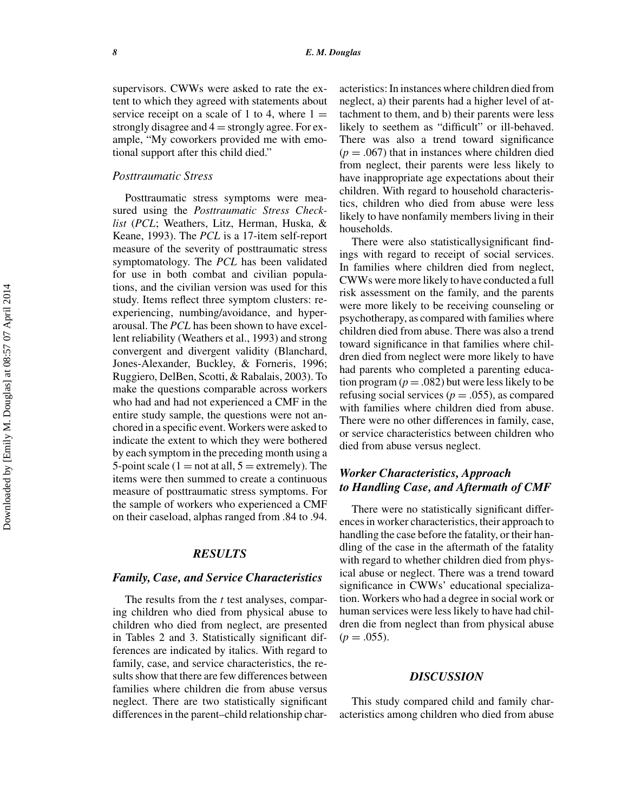supervisors. CWWs were asked to rate the extent to which they agreed with statements about service receipt on a scale of 1 to 4, where  $1 =$ strongly disagree and  $4 =$  strongly agree. For example, "My coworkers provided me with emotional support after this child died."

#### *Posttraumatic Stress*

Posttraumatic stress symptoms were measured using the *Posttraumatic Stress Checklist* (*PCL*; Weathers, Litz, Herman, Huska, & Keane, 1993). The *PCL* is a 17-item self-report measure of the severity of posttraumatic stress symptomatology. The *PCL* has been validated for use in both combat and civilian populations, and the civilian version was used for this study. Items reflect three symptom clusters: reexperiencing, numbing/avoidance, and hyperarousal. The *PCL* has been shown to have excellent reliability (Weathers et al., 1993) and strong convergent and divergent validity (Blanchard, Jones-Alexander, Buckley, & Forneris, 1996; Ruggiero, DelBen, Scotti, & Rabalais, 2003). To make the questions comparable across workers who had and had not experienced a CMF in the entire study sample, the questions were not anchored in a specific event. Workers were asked to indicate the extent to which they were bothered by each symptom in the preceding month using a 5-point scale (1 = not at all,  $5 =$  extremely). The items were then summed to create a continuous measure of posttraumatic stress symptoms. For the sample of workers who experienced a CMF on their caseload, alphas ranged from .84 to .94.

#### *RESULTS*

#### *Family, Case, and Service Characteristics*

The results from the *t* test analyses, comparing children who died from physical abuse to children who died from neglect, are presented in Tables 2 and 3. Statistically significant differences are indicated by italics. With regard to family, case, and service characteristics, the results show that there are few differences between families where children die from abuse versus neglect. There are two statistically significant differences in the parent–child relationship characteristics: In instances where children died from neglect, a) their parents had a higher level of attachment to them, and b) their parents were less likely to seethem as "difficult" or ill-behaved. There was also a trend toward significance  $(p = .067)$  that in instances where children died from neglect, their parents were less likely to have inappropriate age expectations about their children. With regard to household characteristics, children who died from abuse were less likely to have nonfamily members living in their households.

There were also statisticallysignificant findings with regard to receipt of social services. In families where children died from neglect, CWWs were more likely to have conducted a full risk assessment on the family, and the parents were more likely to be receiving counseling or psychotherapy, as compared with families where children died from abuse. There was also a trend toward significance in that families where children died from neglect were more likely to have had parents who completed a parenting education program ( $p = .082$ ) but were less likely to be refusing social services ( $p = .055$ ), as compared with families where children died from abuse. There were no other differences in family, case, or service characteristics between children who died from abuse versus neglect.

# *Worker Characteristics, Approach to Handling Case, and Aftermath of CMF*

There were no statistically significant differences in worker characteristics, their approach to handling the case before the fatality, or their handling of the case in the aftermath of the fatality with regard to whether children died from physical abuse or neglect. There was a trend toward significance in CWWs' educational specialization. Workers who had a degree in social work or human services were less likely to have had children die from neglect than from physical abuse  $(p=.055).$ 

#### *DISCUSSION*

This study compared child and family characteristics among children who died from abuse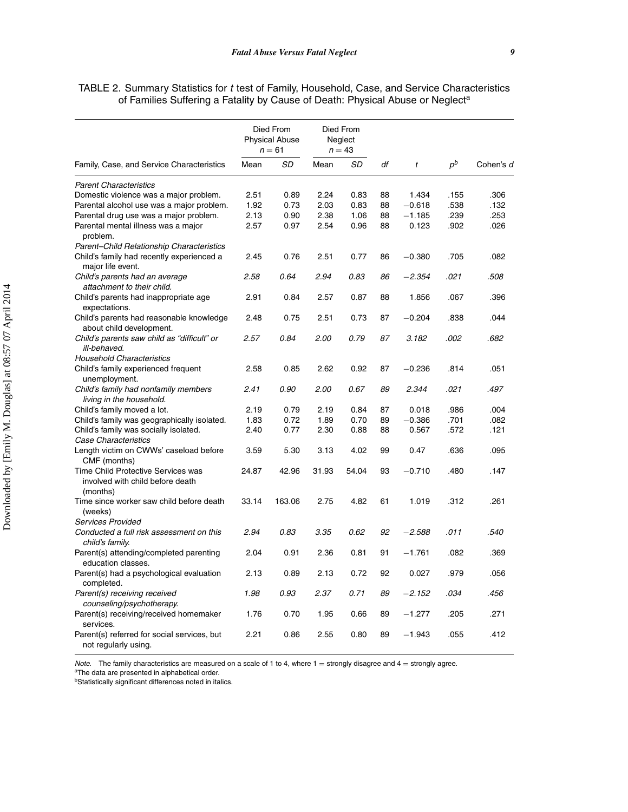| TABLE 2. Summary Statistics for t test of Family, Household, Case, and Service Characteristics |
|------------------------------------------------------------------------------------------------|
| of Families Suffering a Fatality by Cause of Death: Physical Abuse or Neglect <sup>a</sup>     |
|                                                                                                |

|                                                                        | Died From<br><b>Physical Abuse</b><br>$n = 61$ |        | Died From<br>Neglect<br>$n = 43$ |       |    |          |       |           |
|------------------------------------------------------------------------|------------------------------------------------|--------|----------------------------------|-------|----|----------|-------|-----------|
| Family, Case, and Service Characteristics                              | Mean                                           | SD     | Mean                             | SD    | df | t        | $p^b$ | Cohen's d |
| <b>Parent Characteristics</b>                                          |                                                |        |                                  |       |    |          |       |           |
| Domestic violence was a major problem.                                 | 2.51                                           | 0.89   | 2.24                             | 0.83  | 88 | 1.434    | .155  | .306      |
| Parental alcohol use was a major problem.                              | 1.92                                           | 0.73   | 2.03                             | 0.83  | 88 | $-0.618$ | .538  | .132      |
| Parental drug use was a major problem.                                 | 2.13                                           | 0.90   | 2.38                             | 1.06  | 88 | $-1.185$ | .239  | .253      |
| Parental mental illness was a major<br>problem.                        | 2.57                                           | 0.97   | 2.54                             | 0.96  | 88 | 0.123    | .902  | .026      |
| Parent-Child Relationship Characteristics                              |                                                |        |                                  |       |    |          |       |           |
| Child's family had recently experienced a<br>major life event.         | 2.45                                           | 0.76   | 2.51                             | 0.77  | 86 | $-0.380$ | .705  | .082      |
| Child's parents had an average<br>attachment to their child.           | 2.58                                           | 0.64   | 2.94                             | 0.83  | 86 | $-2.354$ | .021  | .508      |
| Child's parents had inappropriate age.<br>expectations.                | 2.91                                           | 0.84   | 2.57                             | 0.87  | 88 | 1.856    | .067  | .396      |
| Child's parents had reasonable knowledge<br>about child development.   | 2.48                                           | 0.75   | 2.51                             | 0.73  | 87 | $-0.204$ | .838  | .044      |
| Child's parents saw child as "difficult" or<br>ill-behaved.            | 2.57                                           | 0.84   | 2.00                             | 0.79  | 87 | 3.182    | .002  | .682      |
| <b>Household Characteristics</b>                                       |                                                |        |                                  |       |    |          |       |           |
| Child's family experienced frequent<br>unemployment.                   | 2.58                                           | 0.85   | 2.62                             | 0.92  | 87 | $-0.236$ | .814  | .051      |
| Child's family had nonfamily members<br>living in the household.       | 2.41                                           | 0.90   | 2.00                             | 0.67  | 89 | 2.344    | .021  | .497      |
| Child's family moved a lot.                                            | 2.19                                           | 0.79   | 2.19                             | 0.84  | 87 | 0.018    | .986  | .004      |
| Child's family was geographically isolated.                            | 1.83                                           | 0.72   | 1.89                             | 0.70  | 89 | $-0.386$ | .701  | .082      |
| Child's family was socially isolated.                                  | 2.40                                           | 0.77   | 2.30                             | 0.88  | 88 | 0.567    | .572  | .121      |
| <b>Case Characteristics</b>                                            |                                                |        |                                  |       |    |          |       |           |
| Length victim on CWWs' caseload before<br>CMF (months)                 | 3.59                                           | 5.30   | 3.13                             | 4.02  | 99 | 0.47     | .636  | .095      |
| Time Child Protective Services was<br>involved with child before death | 24.87                                          | 42.96  | 31.93                            | 54.04 | 93 | $-0.710$ | .480  | .147      |
| (months)<br>Time since worker saw child before death<br>(weeks)        | 33.14                                          | 163.06 | 2.75                             | 4.82  | 61 | 1.019    | .312  | .261      |
| Services Provided                                                      |                                                |        |                                  |       |    |          |       |           |
| Conducted a full risk assessment on this<br>child's family.            | 2.94                                           | 0.83   | 3.35                             | 0.62  | 92 | $-2.588$ | .011  | .540      |
| Parent(s) attending/completed parenting                                | 2.04                                           | 0.91   | 2.36                             | 0.81  | 91 | $-1.761$ | .082  | .369      |
| education classes.<br>Parent(s) had a psychological evaluation         | 2.13                                           | 0.89   | 2.13                             | 0.72  | 92 | 0.027    | .979  | .056      |
| completed.                                                             |                                                |        |                                  |       |    |          |       |           |
| Parent(s) receiving received<br>counseling/psychotherapy.              | 1.98                                           | 0.93   | 2.37                             | 0.71  | 89 | $-2.152$ | .034  | .456      |
| Parent(s) receiving/received homemaker<br>services.                    | 1.76                                           | 0.70   | 1.95                             | 0.66  | 89 | $-1.277$ | .205  | .271      |
| Parent(s) referred for social services, but<br>not regularly using.    | 2.21                                           | 0.86   | 2.55                             | 0.80  | 89 | $-1.943$ | .055  | .412      |

Note. The family characteristics are measured on a scale of 1 to 4, where  $1 =$  strongly disagree and  $4 =$  strongly agree.<br><sup>a</sup>The data are presented in alphabetical order.

**bStatistically significant differences noted in italics.**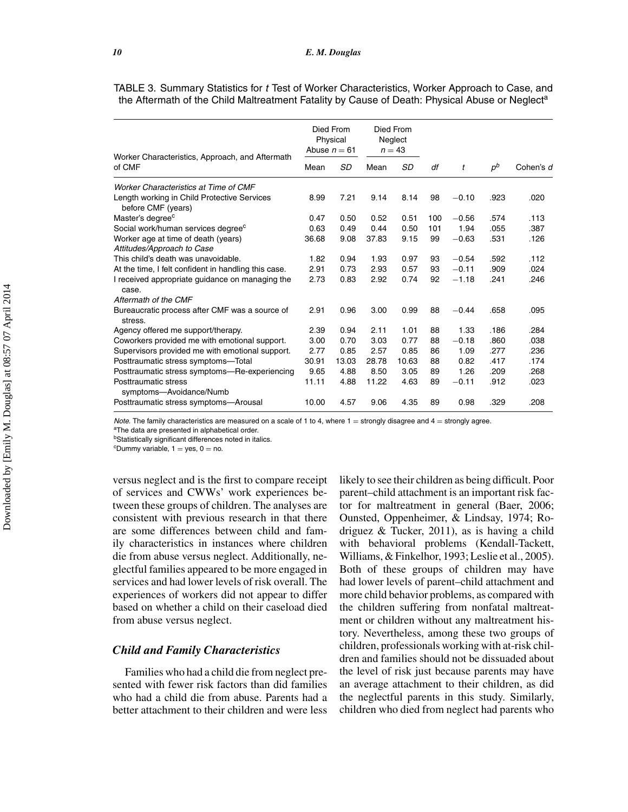TABLE 3. Summary Statistics for t Test of Worker Characteristics, Worker Approach to Case, and the Aftermath of the Child Maltreatment Fatality by Cause of Death: Physical Abuse or Neglect<sup>a</sup>

|                                                                   |       | Died From<br>Physical<br>Abuse $n = 61$ |       | Died From<br>Neglect<br>$n = 43$ |     |         |       |           |
|-------------------------------------------------------------------|-------|-----------------------------------------|-------|----------------------------------|-----|---------|-------|-----------|
| Worker Characteristics, Approach, and Aftermath<br>of CMF         | Mean  | <b>SD</b>                               | Mean  | SD                               | df  | t       | $p^b$ | Cohen's d |
| Worker Characteristics at Time of CMF                             |       |                                         |       |                                  |     |         |       |           |
| Length working in Child Protective Services<br>before CMF (years) | 8.99  | 7.21                                    | 9.14  | 8.14                             | 98  | $-0.10$ | .923  | .020      |
| Master's degree <sup>c</sup>                                      | 0.47  | 0.50                                    | 0.52  | 0.51                             | 100 | $-0.56$ | .574  | .113      |
| Social work/human services degree <sup>c</sup>                    | 0.63  | 0.49                                    | 0.44  | 0.50                             | 101 | 1.94    | .055  | .387      |
| Worker age at time of death (years)<br>Attitudes/Approach to Case | 36.68 | 9.08                                    | 37.83 | 9.15                             | 99  | $-0.63$ | .531  | .126      |
| This child's death was unavoidable.                               | 1.82  | 0.94                                    | 1.93  | 0.97                             | 93  | $-0.54$ | .592  | .112      |
| At the time, I felt confident in handling this case.              | 2.91  | 0.73                                    | 2.93  | 0.57                             | 93  | $-0.11$ | .909  | .024      |
| I received appropriate quidance on managing the<br>case.          | 2.73  | 0.83                                    | 2.92  | 0.74                             | 92  | $-1.18$ | .241  | .246      |
| Aftermath of the CMF                                              |       |                                         |       |                                  |     |         |       |           |
| Bureaucratic process after CMF was a source of<br>stress.         | 2.91  | 0.96                                    | 3.00  | 0.99                             | 88  | $-0.44$ | .658  | .095      |
| Agency offered me support/therapy.                                | 2.39  | 0.94                                    | 2.11  | 1.01                             | 88  | 1.33    | .186  | .284      |
| Coworkers provided me with emotional support.                     | 3.00  | 0.70                                    | 3.03  | 0.77                             | 88  | $-0.18$ | .860  | .038      |
| Supervisors provided me with emotional support.                   | 2.77  | 0.85                                    | 2.57  | 0.85                             | 86  | 1.09    | .277  | .236      |
| Posttraumatic stress symptoms-Total                               | 30.91 | 13.03                                   | 28.78 | 10.63                            | 88  | 0.82    | .417  | .174      |
| Posttraumatic stress symptoms-Re-experiencing                     | 9.65  | 4.88                                    | 8.50  | 3.05                             | 89  | 1.26    | .209  | .268      |
| Posttraumatic stress<br>symptoms-Avoidance/Numb                   | 11.11 | 4.88                                    | 11.22 | 4.63                             | 89  | $-0.11$ | .912  | .023      |
| Posttraumatic stress symptoms-Arousal                             | 10.00 | 4.57                                    | 9.06  | 4.35                             | 89  | 0.98    | .329  | .208      |

Note. The family characteristics are measured on a scale of 1 to 4, where  $1 =$  strongly disagree and  $4 =$  strongly agree.<br><sup>a</sup>The data are presented in alphabetical order.

**bStatistically significant differences noted in italics.** 

 $\text{°Dummy variable}, 1 = \text{yes}, 0 = \text{no}.$ 

versus neglect and is the first to compare receipt of services and CWWs' work experiences between these groups of children. The analyses are consistent with previous research in that there are some differences between child and family characteristics in instances where children die from abuse versus neglect. Additionally, neglectful families appeared to be more engaged in services and had lower levels of risk overall. The experiences of workers did not appear to differ based on whether a child on their caseload died from abuse versus neglect.

### *Child and Family Characteristics*

Families who had a child die from neglect presented with fewer risk factors than did families who had a child die from abuse. Parents had a better attachment to their children and were less likely to see their children as being difficult. Poor parent–child attachment is an important risk factor for maltreatment in general (Baer, 2006; Ounsted, Oppenheimer, & Lindsay, 1974; Rodriguez & Tucker, 2011), as is having a child with behavioral problems (Kendall-Tackett, Williams, & Finkelhor, 1993; Leslie et al., 2005). Both of these groups of children may have had lower levels of parent–child attachment and more child behavior problems, as compared with the children suffering from nonfatal maltreatment or children without any maltreatment history. Nevertheless, among these two groups of children, professionals working with at-risk children and families should not be dissuaded about the level of risk just because parents may have an average attachment to their children, as did the neglectful parents in this study. Similarly, children who died from neglect had parents who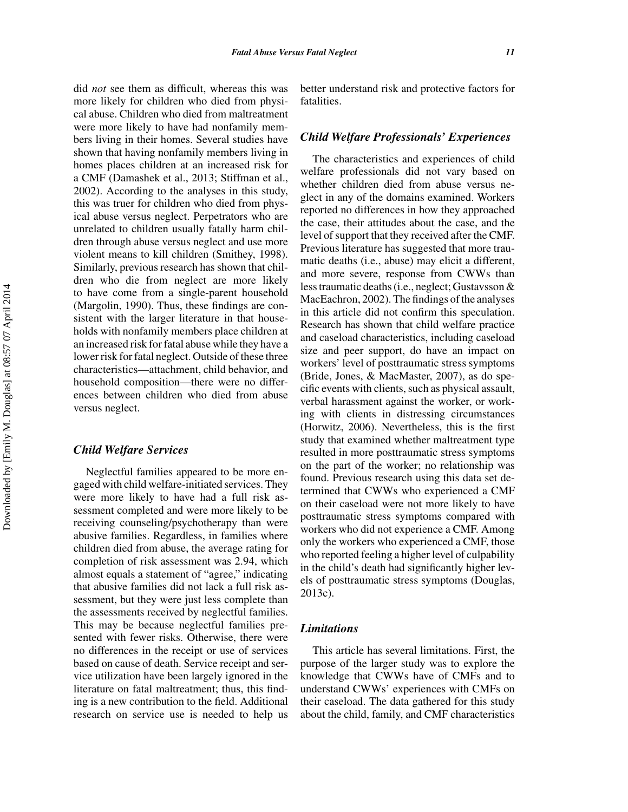did *not* see them as difficult, whereas this was more likely for children who died from physical abuse. Children who died from maltreatment were more likely to have had nonfamily members living in their homes. Several studies have shown that having nonfamily members living in homes places children at an increased risk for a CMF (Damashek et al., 2013; Stiffman et al., 2002). According to the analyses in this study, this was truer for children who died from physical abuse versus neglect. Perpetrators who are unrelated to children usually fatally harm children through abuse versus neglect and use more violent means to kill children (Smithey, 1998). Similarly, previous research has shown that children who die from neglect are more likely to have come from a single-parent household (Margolin, 1990). Thus, these findings are consistent with the larger literature in that households with nonfamily members place children at an increased risk for fatal abuse while they have a lower risk for fatal neglect. Outside of these three characteristics—attachment, child behavior, and household composition—there were no differences between children who died from abuse versus neglect.

#### *Child Welfare Services*

Neglectful families appeared to be more engaged with child welfare-initiated services. They were more likely to have had a full risk assessment completed and were more likely to be receiving counseling/psychotherapy than were abusive families. Regardless, in families where children died from abuse, the average rating for completion of risk assessment was 2.94, which almost equals a statement of "agree," indicating that abusive families did not lack a full risk assessment, but they were just less complete than the assessments received by neglectful families. This may be because neglectful families presented with fewer risks. Otherwise, there were no differences in the receipt or use of services based on cause of death. Service receipt and service utilization have been largely ignored in the literature on fatal maltreatment; thus, this finding is a new contribution to the field. Additional research on service use is needed to help us

better understand risk and protective factors for fatalities.

#### *Child Welfare Professionals' Experiences*

The characteristics and experiences of child welfare professionals did not vary based on whether children died from abuse versus neglect in any of the domains examined. Workers reported no differences in how they approached the case, their attitudes about the case, and the level of support that they received after the CMF. Previous literature has suggested that more traumatic deaths (i.e., abuse) may elicit a different, and more severe, response from CWWs than less traumatic deaths (i.e., neglect; Gustavsson & MacEachron, 2002). The findings of the analyses in this article did not confirm this speculation. Research has shown that child welfare practice and caseload characteristics, including caseload size and peer support, do have an impact on workers' level of posttraumatic stress symptoms (Bride, Jones, & MacMaster, 2007), as do specific events with clients, such as physical assault, verbal harassment against the worker, or working with clients in distressing circumstances (Horwitz, 2006). Nevertheless, this is the first study that examined whether maltreatment type resulted in more posttraumatic stress symptoms on the part of the worker; no relationship was found. Previous research using this data set determined that CWWs who experienced a CMF on their caseload were not more likely to have posttraumatic stress symptoms compared with workers who did not experience a CMF. Among only the workers who experienced a CMF, those who reported feeling a higher level of culpability in the child's death had significantly higher levels of posttraumatic stress symptoms (Douglas, 2013c).

#### *Limitations*

This article has several limitations. First, the purpose of the larger study was to explore the knowledge that CWWs have of CMFs and to understand CWWs' experiences with CMFs on their caseload. The data gathered for this study about the child, family, and CMF characteristics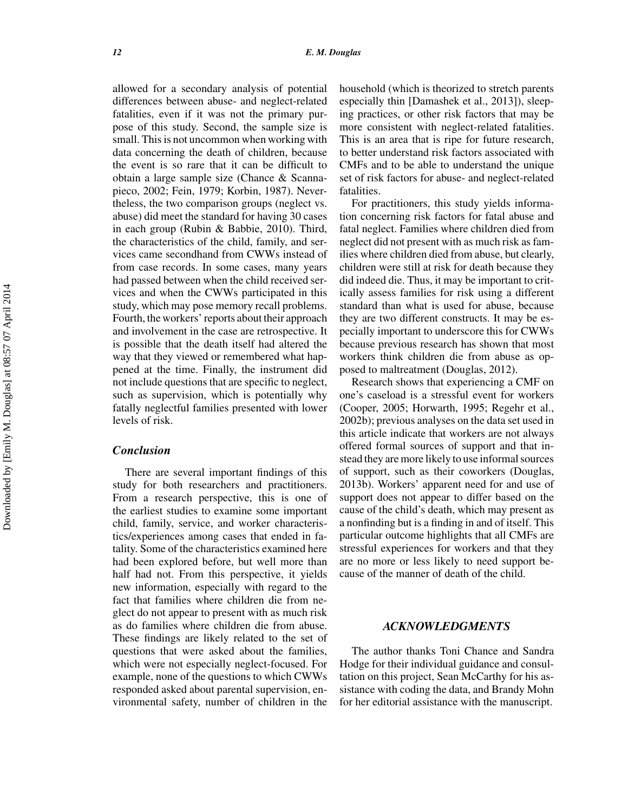allowed for a secondary analysis of potential differences between abuse- and neglect-related fatalities, even if it was not the primary purpose of this study. Second, the sample size is small. This is not uncommon when working with data concerning the death of children, because the event is so rare that it can be difficult to obtain a large sample size (Chance & Scannapieco, 2002; Fein, 1979; Korbin, 1987). Nevertheless, the two comparison groups (neglect vs. abuse) did meet the standard for having 30 cases in each group (Rubin & Babbie, 2010). Third, the characteristics of the child, family, and services came secondhand from CWWs instead of from case records. In some cases, many years had passed between when the child received services and when the CWWs participated in this study, which may pose memory recall problems. Fourth, the workers' reports about their approach and involvement in the case are retrospective. It is possible that the death itself had altered the way that they viewed or remembered what happened at the time. Finally, the instrument did not include questions that are specific to neglect, such as supervision, which is potentially why fatally neglectful families presented with lower levels of risk.

## *Conclusion*

There are several important findings of this study for both researchers and practitioners. From a research perspective, this is one of the earliest studies to examine some important child, family, service, and worker characteristics/experiences among cases that ended in fatality. Some of the characteristics examined here had been explored before, but well more than half had not. From this perspective, it yields new information, especially with regard to the fact that families where children die from neglect do not appear to present with as much risk as do families where children die from abuse. These findings are likely related to the set of questions that were asked about the families, which were not especially neglect-focused. For example, none of the questions to which CWWs responded asked about parental supervision, environmental safety, number of children in the household (which is theorized to stretch parents especially thin [Damashek et al., 2013]), sleeping practices, or other risk factors that may be more consistent with neglect-related fatalities. This is an area that is ripe for future research, to better understand risk factors associated with CMFs and to be able to understand the unique set of risk factors for abuse- and neglect-related fatalities.

For practitioners, this study yields information concerning risk factors for fatal abuse and fatal neglect. Families where children died from neglect did not present with as much risk as families where children died from abuse, but clearly, children were still at risk for death because they did indeed die. Thus, it may be important to critically assess families for risk using a different standard than what is used for abuse, because they are two different constructs. It may be especially important to underscore this for CWWs because previous research has shown that most workers think children die from abuse as opposed to maltreatment (Douglas, 2012).

Research shows that experiencing a CMF on one's caseload is a stressful event for workers (Cooper, 2005; Horwarth, 1995; Regehr et al., 2002b); previous analyses on the data set used in this article indicate that workers are not always offered formal sources of support and that instead they are more likely to use informal sources of support, such as their coworkers (Douglas, 2013b). Workers' apparent need for and use of support does not appear to differ based on the cause of the child's death, which may present as a nonfinding but is a finding in and of itself. This particular outcome highlights that all CMFs are stressful experiences for workers and that they are no more or less likely to need support because of the manner of death of the child.

## *ACKNOWLEDGMENTS*

The author thanks Toni Chance and Sandra Hodge for their individual guidance and consultation on this project, Sean McCarthy for his assistance with coding the data, and Brandy Mohn for her editorial assistance with the manuscript.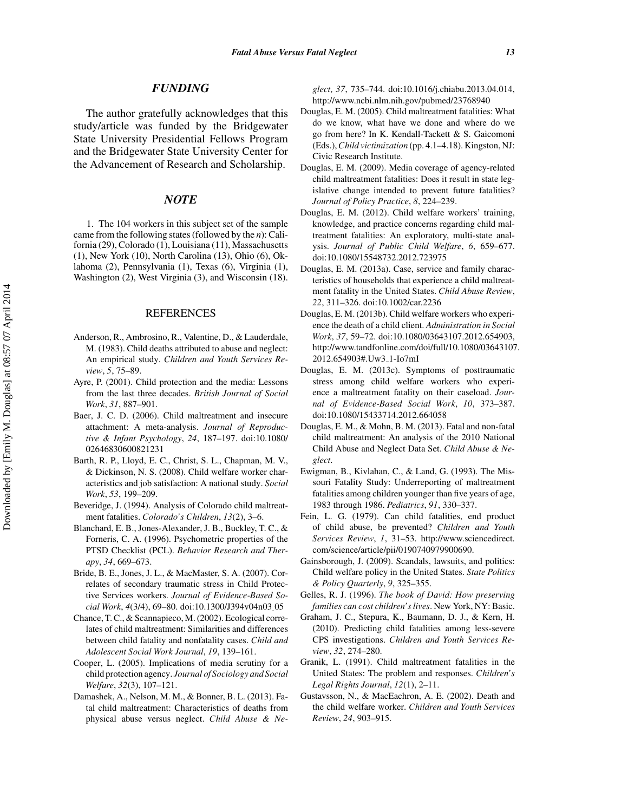#### *FUNDING*

The author gratefully acknowledges that this study/article was funded by the Bridgewater State University Presidential Fellows Program and the Bridgewater State University Center for the Advancement of Research and Scholarship.

### *NOTE*

1. The 104 workers in this subject set of the sample came from the following states (followed by the *n*): California (29), Colorado (1), Louisiana (11), Massachusetts (1), New York (10), North Carolina (13), Ohio (6), Oklahoma (2), Pennsylvania (1), Texas (6), Virginia (1), Washington (2), West Virginia (3), and Wisconsin (18).

#### REFERENCES

- Anderson, R., Ambrosino, R., Valentine, D., & Lauderdale, M. (1983). Child deaths attributed to abuse and neglect: An empirical study. *Children and Youth Services Review*, *5*, 75–89.
- Ayre, P. (2001). Child protection and the media: Lessons from the last three decades. *British Journal of Social Work*, *31*, 887–901.
- Baer, J. C. D. (2006). Child maltreatment and insecure attachment: A meta-analysis. *Journal of Reproductive & Infant Psychology*, *24*, 187–197. doi:10.1080/ 02646830600821231
- Barth, R. P., Lloyd, E. C., Christ, S. L., Chapman, M. V., & Dickinson, N. S. (2008). Child welfare worker characteristics and job satisfaction: A national study. *Social Work*, *53*, 199–209.
- Beveridge, J. (1994). Analysis of Colorado child maltreatment fatalities. *Colorado's Children*, *13*(2), 3–6.
- Blanchard, E. B., Jones-Alexander, J. B., Buckley, T. C., & Forneris, C. A. (1996). Psychometric properties of the PTSD Checklist (PCL). *Behavior Research and Therapy*, *34*, 669–673.
- Bride, B. E., Jones, J. L., & MacMaster, S. A. (2007). Correlates of secondary traumatic stress in Child Protective Services workers. *Journal of Evidence-Based Social Work*, *4*(3/4), 69–80. doi:10.1300/J394v04n03 05
- Chance, T. C., & Scannapieco, M. (2002). Ecological correlates of child maltreatment: Similarities and differences between child fatality and nonfatality cases. *Child and Adolescent Social Work Journal*, *19*, 139–161.
- Cooper, L. (2005). Implications of media scrutiny for a child protection agency. *Journal of Sociology and Social Welfare*, *32*(3), 107–121.
- Damashek, A., Nelson, M. M., & Bonner, B. L. (2013). Fatal child maltreatment: Characteristics of deaths from physical abuse versus neglect. *Child Abuse & Ne-*

*glect, 37*, 735–744. doi:10.1016/j.chiabu.2013.04.014, http://www.ncbi.nlm.nih.gov/pubmed/23768940

- Douglas, E. M. (2005). Child maltreatment fatalities: What do we know, what have we done and where do we go from here? In K. Kendall-Tackett & S. Gaicomoni (Eds.),*Child victimization* (pp. 4.1–4.18). Kingston, NJ: Civic Research Institute.
- Douglas, E. M. (2009). Media coverage of agency-related child maltreatment fatalities: Does it result in state legislative change intended to prevent future fatalities? *Journal of Policy Practice*, *8*, 224–239.
- Douglas, E. M. (2012). Child welfare workers' training, knowledge, and practice concerns regarding child maltreatment fatalities: An exploratory, multi-state analysis. *Journal of Public Child Welfare*, *6*, 659–677. doi:10.1080/15548732.2012.723975
- Douglas, E. M. (2013a). Case, service and family characteristics of households that experience a child maltreatment fatality in the United States. *Child Abuse Review*, *22*, 311–326. doi:10.1002/car.2236
- Douglas, E. M. (2013b). Child welfare workers who experience the death of a child client. *Administration in Social Work*, *37*, 59–72. doi:10.1080/03643107.2012.654903, http://www.tandfonline.com/doi/full/10.1080/03643107. 2012.654903#.Uw3 1-Io7mI
- Douglas, E. M. (2013c). Symptoms of posttraumatic stress among child welfare workers who experience a maltreatment fatality on their caseload. *Journal of Evidence-Based Social Work*, *10*, 373–387. doi:10.1080/15433714.2012.664058
- Douglas, E. M., & Mohn, B. M. (2013). Fatal and non-fatal child maltreatment: An analysis of the 2010 National Child Abuse and Neglect Data Set. *Child Abuse & Neglect*.
- Ewigman, B., Kivlahan, C., & Land, G. (1993). The Missouri Fatality Study: Underreporting of maltreatment fatalities among children younger than five years of age, 1983 through 1986. *Pediatrics*, *91*, 330–337.
- Fein, L. G. (1979). Can child fatalities, end product of child abuse, be prevented? *Children and Youth Services Review*, *1*, 31–53. http://www.sciencedirect. com/science/article/pii/0190740979900690.
- Gainsborough, J. (2009). Scandals, lawsuits, and politics: Child welfare policy in the United States. *State Politics & Policy Quarterly*, *9*, 325–355.
- Gelles, R. J. (1996). *The book of David: How preserving families can cost children's lives*. New York, NY: Basic.
- Graham, J. C., Stepura, K., Baumann, D. J., & Kern, H. (2010). Predicting child fatalities among less-severe CPS investigations. *Children and Youth Services Review*, *32*, 274–280.
- Granik, L. (1991). Child maltreatment fatalities in the United States: The problem and responses. *Children's Legal Rights Journal*, *12*(1), 2–11.
- Gustavsson, N., & MacEachron, A. E. (2002). Death and the child welfare worker. *Children and Youth Services Review*, *24*, 903–915.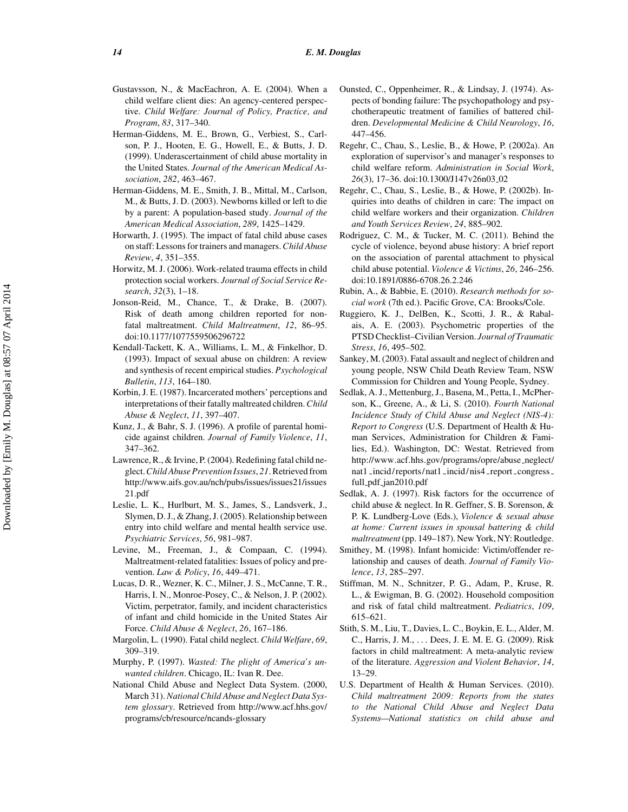- Gustavsson, N., & MacEachron, A. E. (2004). When a child welfare client dies: An agency-centered perspective. *Child Welfare: Journal of Policy, Practice, and Program*, *83*, 317–340.
- Herman-Giddens, M. E., Brown, G., Verbiest, S., Carlson, P. J., Hooten, E. G., Howell, E., & Butts, J. D. (1999). Underascertainment of child abuse mortality in the United States. *Journal of the American Medical Association*, *282*, 463–467.
- Herman-Giddens, M. E., Smith, J. B., Mittal, M., Carlson, M., & Butts, J. D. (2003). Newborns killed or left to die by a parent: A population-based study. *Journal of the American Medical Association*, *289*, 1425–1429.
- Horwarth, J. (1995). The impact of fatal child abuse cases on staff: Lessons for trainers and managers. *Child Abuse Review*, *4*, 351–355.
- Horwitz, M. J. (2006). Work-related trauma effects in child protection social workers. *Journal of Social Service Research*, *32*(3), 1–18.
- Jonson-Reid, M., Chance, T., & Drake, B. (2007). Risk of death among children reported for nonfatal maltreatment. *Child Maltreatment*, *12*, 86–95. doi:10.1177/1077559506296722
- Kendall-Tackett, K. A., Williams, L. M., & Finkelhor, D. (1993). Impact of sexual abuse on children: A review and synthesis of recent empirical studies. *Psychological Bulletin*, *113*, 164–180.
- Korbin, J. E. (1987). Incarcerated mothers' perceptions and interpretations of their fatally maltreated children. *Child Abuse & Neglect*, *11*, 397–407.
- Kunz, J., & Bahr, S. J. (1996). A profile of parental homicide against children. *Journal of Family Violence*, *11*, 347–362.
- Lawrence, R., & Irvine, P. (2004). Redefining fatal child neglect.*Child Abuse Prevention Issues*, *21*. Retrieved from http://www.aifs.gov.au/nch/pubs/issues/issues21/issues 21.pdf
- Leslie, L. K., Hurlburt, M. S., James, S., Landsverk, J., Slymen, D. J., & Zhang, J. (2005). Relationship between entry into child welfare and mental health service use. *Psychiatric Services*, *56*, 981–987.
- Levine, M., Freeman, J., & Compaan, C. (1994). Maltreatment-related fatalities: Issues of policy and prevention. *Law & Policy*, *16*, 449–471.
- Lucas, D. R., Wezner, K. C., Milner, J. S., McCanne, T. R., Harris, I. N., Monroe-Posey, C., & Nelson, J. P. (2002). Victim, perpetrator, family, and incident characteristics of infant and child homicide in the United States Air Force. *Child Abuse & Neglect*, *26*, 167–186.
- Margolin, L. (1990). Fatal child neglect. *Child Welfare*, *69*, 309–319.
- Murphy, P. (1997). *Wasted: The plight of America's unwanted children*. Chicago, IL: Ivan R. Dee.
- National Child Abuse and Neglect Data System. (2000, March 31). *National Child Abuse and Neglect Data System glossary*. Retrieved from http://www.acf.hhs.gov/ programs/cb/resource/ncands-glossary
- Ounsted, C., Oppenheimer, R., & Lindsay, J. (1974). Aspects of bonding failure: The psychopathology and psychotherapeutic treatment of families of battered children. *Developmental Medicine & Child Neurology*, *16*, 447–456.
- Regehr, C., Chau, S., Leslie, B., & Howe, P. (2002a). An exploration of supervisor's and manager's responses to child welfare reform. *Administration in Social Work*, 26(3), 17-36. doi:10.1300/J147v26n03<sub>-02</sub>
- Regehr, C., Chau, S., Leslie, B., & Howe, P. (2002b). Inquiries into deaths of children in care: The impact on child welfare workers and their organization. *Children and Youth Services Review*, *24*, 885–902.
- Rodriguez, C. M., & Tucker, M. C. (2011). Behind the cycle of violence, beyond abuse history: A brief report on the association of parental attachment to physical child abuse potential. *Violence & Victims*, *26*, 246–256. doi:10.1891/0886-6708.26.2.246
- Rubin, A., & Babbie, E. (2010). *Research methods for social work* (7th ed.). Pacific Grove, CA: Brooks/Cole.
- Ruggiero, K. J., DelBen, K., Scotti, J. R., & Rabalais, A. E. (2003). Psychometric properties of the PTSD Checklist–Civilian Version. *Journal of Traumatic Stress*, *16*, 495–502.
- Sankey, M. (2003). Fatal assault and neglect of children and young people, NSW Child Death Review Team, NSW Commission for Children and Young People, Sydney.
- Sedlak, A. J., Mettenburg, J., Basena, M., Petta, I., McPherson, K., Greene, A., & Li, S. (2010). *Fourth National Incidence Study of Child Abuse and Neglect (NIS-4): Report to Congress* (U.S. Department of Health & Human Services, Administration for Children & Families, Ed.). Washington, DC: Westat. Retrieved from http://www.acf.hhs.gov/programs/opre/abuse\_neglect/ nat1\_incid/reports/nat1\_incid/nis4\_report\_congress\_ full pdf jan2010.pdf
- Sedlak, A. J. (1997). Risk factors for the occurrence of child abuse & neglect. In R. Geffner, S. B. Sorenson, & P. K. Lundberg-Love (Eds.), *Violence & sexual abuse at home: Current issues in spousal battering & child maltreatment*(pp. 149–187). New York, NY: Routledge.
- Smithey, M. (1998). Infant homicide: Victim/offender relationship and causes of death. *Journal of Family Violence*, *13*, 285–297.
- Stiffman, M. N., Schnitzer, P. G., Adam, P., Kruse, R. L., & Ewigman, B. G. (2002). Household composition and risk of fatal child maltreatment. *Pediatrics*, *109*, 615–621.
- Stith, S. M., Liu, T., Davies, L. C., Boykin, E. L., Alder, M. C., Harris, J. M., ... Dees, J. E. M. E. G. (2009). Risk factors in child maltreatment: A meta-analytic review of the literature. *Aggression and Violent Behavior*, *14*, 13–29.
- U.S. Department of Health & Human Services. (2010). *Child maltreatment 2009: Reports from the states to the National Child Abuse and Neglect Data Systems—National statistics on child abuse and*